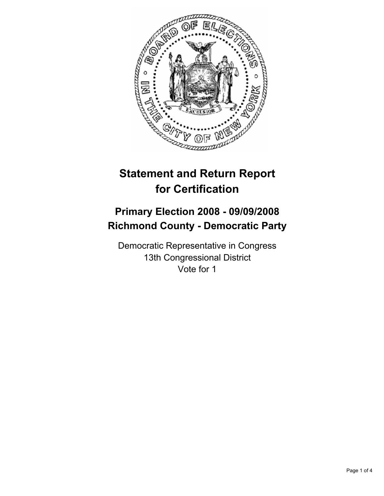

# **Statement and Return Report for Certification**

## **Primary Election 2008 - 09/09/2008 Richmond County - Democratic Party**

Democratic Representative in Congress 13th Congressional District Vote for 1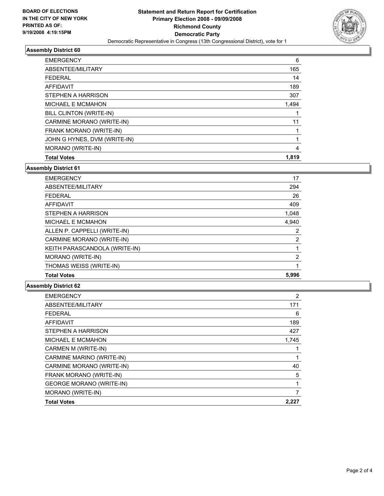

### **Assembly District 60**

| <b>EMERGENCY</b>             | 6     |
|------------------------------|-------|
| ABSENTEE/MILITARY            | 165   |
| <b>FEDERAL</b>               | 14    |
| AFFIDAVIT                    | 189   |
| STEPHEN A HARRISON           | 307   |
| <b>MICHAEL E MCMAHON</b>     | 1,494 |
| BILL CLINTON (WRITE-IN)      |       |
| CARMINE MORANO (WRITE-IN)    | 11    |
| FRANK MORANO (WRITE-IN)      |       |
| JOHN G HYNES, DVM (WRITE-IN) |       |
| <b>MORANO (WRITE-IN)</b>     | 4     |
| <b>Total Votes</b>           | 1.819 |

**Assembly District 61**

| <b>EMERGENCY</b>              | 17             |
|-------------------------------|----------------|
| ABSENTEE/MILITARY             | 294            |
| <b>FEDERAL</b>                | 26             |
| AFFIDAVIT                     | 409            |
| STEPHEN A HARRISON            | 1,048          |
| <b>MICHAEL E MCMAHON</b>      | 4,940          |
| ALLEN P. CAPPELLI (WRITE-IN)  | 2              |
| CARMINE MORANO (WRITE-IN)     | 2              |
| KEITH PARASCANDOLA (WRITE-IN) |                |
| MORANO (WRITE-IN)             | $\overline{2}$ |
| THOMAS WEISS (WRITE-IN)       |                |
| <b>Total Votes</b>            | 5,996          |

#### **Assembly District 62**

| <b>Total Votes</b>              | 2,227 |
|---------------------------------|-------|
| MORANO (WRITE-IN)               |       |
| <b>GEORGE MORANO (WRITE-IN)</b> |       |
| FRANK MORANO (WRITE-IN)         | 5     |
| CARMINE MORANO (WRITE-IN)       | 40    |
| CARMINE MARINO (WRITE-IN)       |       |
| CARMEN M (WRITE-IN)             |       |
| <b>MICHAEL E MCMAHON</b>        | 1,745 |
| STEPHEN A HARRISON              | 427   |
| AFFIDAVIT                       | 189   |
| <b>FEDERAL</b>                  | 6     |
| ABSENTEE/MILITARY               | 171   |
| <b>EMERGENCY</b>                | 2     |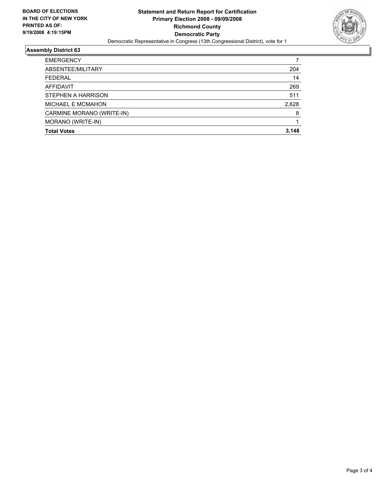

#### **Assembly District 63**

| <b>EMERGENCY</b>          |       |
|---------------------------|-------|
| ABSENTEE/MILITARY         | 204   |
| <b>FEDERAL</b>            | 14    |
| AFFIDAVIT                 | 269   |
| STEPHEN A HARRISON        | 511   |
| MICHAEL E MCMAHON         | 2,628 |
| CARMINE MORANO (WRITE-IN) | 8     |
| MORANO (WRITE-IN)         |       |
| <b>Total Votes</b>        | 3,148 |